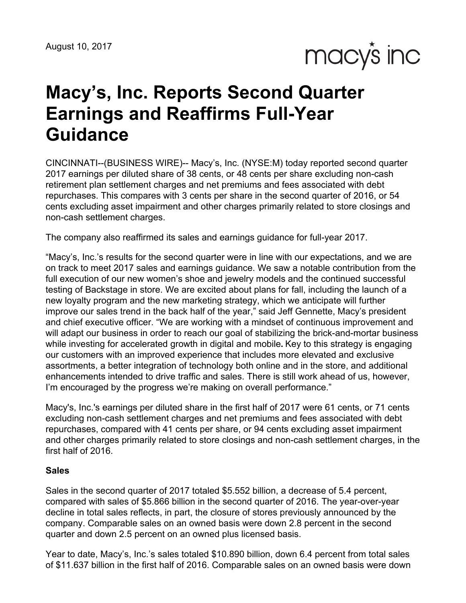macy's inc

# **Macy's, Inc. Reports Second Quarter Earnings and Reaffirms Full-Year Guidance**

CINCINNATI--(BUSINESS WIRE)-- Macy's, Inc. (NYSE:M) today reported second quarter 2017 earnings per diluted share of 38 cents, or 48 cents per share excluding non-cash retirement plan settlement charges and net premiums and fees associated with debt repurchases. This compares with 3 cents per share in the second quarter of 2016, or 54 cents excluding asset impairment and other charges primarily related to store closings and non-cash settlement charges.

The company also reaffirmed its sales and earnings guidance for full-year 2017.

"Macy's, Inc.'s results for the second quarter were in line with our expectations, and we are on track to meet 2017 sales and earnings guidance. We saw a notable contribution from the full execution of our new women's shoe and jewelry models and the continued successful testing of Backstage in store. We are excited about plans for fall, including the launch of a new loyalty program and the new marketing strategy, which we anticipate will further improve our sales trend in the back half of the year," said Jeff Gennette, Macy's president and chief executive officer. "We are working with a mindset of continuous improvement and will adapt our business in order to reach our goal of stabilizing the brick-and-mortar business while investing for accelerated growth in digital and mobile**.** Key to this strategy is engaging our customers with an improved experience that includes more elevated and exclusive assortments, a better integration of technology both online and in the store, and additional enhancements intended to drive traffic and sales. There is still work ahead of us, however, I'm encouraged by the progress we're making on overall performance."

Macy's, Inc.'s earnings per diluted share in the first half of 2017 were 61 cents, or 71 cents excluding non-cash settlement charges and net premiums and fees associated with debt repurchases, compared with 41 cents per share, or 94 cents excluding asset impairment and other charges primarily related to store closings and non-cash settlement charges, in the first half of 2016.

#### **Sales**

Sales in the second quarter of 2017 totaled \$5.552 billion, a decrease of 5.4 percent, compared with sales of \$5.866 billion in the second quarter of 2016. The year-over-year decline in total sales reflects, in part, the closure of stores previously announced by the company. Comparable sales on an owned basis were down 2.8 percent in the second quarter and down 2.5 percent on an owned plus licensed basis.

Year to date, Macy's, Inc.'s sales totaled \$10.890 billion, down 6.4 percent from total sales of \$11.637 billion in the first half of 2016. Comparable sales on an owned basis were down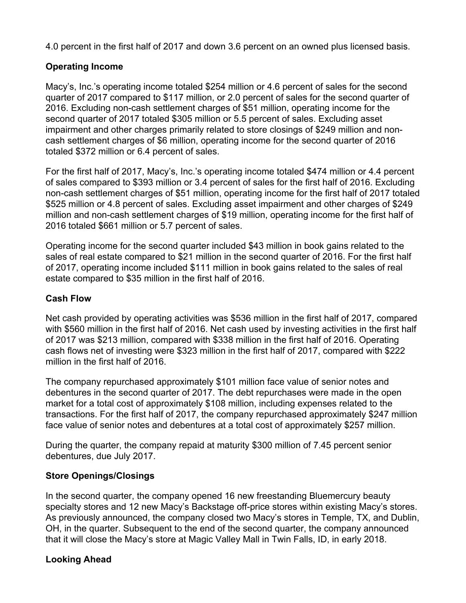4.0 percent in the first half of 2017 and down 3.6 percent on an owned plus licensed basis.

# **Operating Income**

Macy's, Inc.'s operating income totaled \$254 million or 4.6 percent of sales for the second quarter of 2017 compared to \$117 million, or 2.0 percent of sales for the second quarter of 2016. Excluding non-cash settlement charges of \$51 million, operating income for the second quarter of 2017 totaled \$305 million or 5.5 percent of sales. Excluding asset impairment and other charges primarily related to store closings of \$249 million and noncash settlement charges of \$6 million, operating income for the second quarter of 2016 totaled \$372 million or 6.4 percent of sales.

For the first half of 2017, Macy's, Inc.'s operating income totaled \$474 million or 4.4 percent of sales compared to \$393 million or 3.4 percent of sales for the first half of 2016. Excluding non-cash settlement charges of \$51 million, operating income for the first half of 2017 totaled \$525 million or 4.8 percent of sales. Excluding asset impairment and other charges of \$249 million and non-cash settlement charges of \$19 million, operating income for the first half of 2016 totaled \$661 million or 5.7 percent of sales.

Operating income for the second quarter included \$43 million in book gains related to the sales of real estate compared to \$21 million in the second quarter of 2016. For the first half of 2017, operating income included \$111 million in book gains related to the sales of real estate compared to \$35 million in the first half of 2016.

# **Cash Flow**

Net cash provided by operating activities was \$536 million in the first half of 2017, compared with \$560 million in the first half of 2016. Net cash used by investing activities in the first half of 2017 was \$213 million, compared with \$338 million in the first half of 2016. Operating cash flows net of investing were \$323 million in the first half of 2017, compared with \$222 million in the first half of 2016.

The company repurchased approximately \$101 million face value of senior notes and debentures in the second quarter of 2017. The debt repurchases were made in the open market for a total cost of approximately \$108 million, including expenses related to the transactions. For the first half of 2017, the company repurchased approximately \$247 million face value of senior notes and debentures at a total cost of approximately \$257 million.

During the quarter, the company repaid at maturity \$300 million of 7.45 percent senior debentures, due July 2017.

# **Store Openings/Closings**

In the second quarter, the company opened 16 new freestanding Bluemercury beauty specialty stores and 12 new Macy's Backstage off-price stores within existing Macy's stores. As previously announced, the company closed two Macy's stores in Temple, TX, and Dublin, OH, in the quarter. Subsequent to the end of the second quarter, the company announced that it will close the Macy's store at Magic Valley Mall in Twin Falls, ID, in early 2018.

# **Looking Ahead**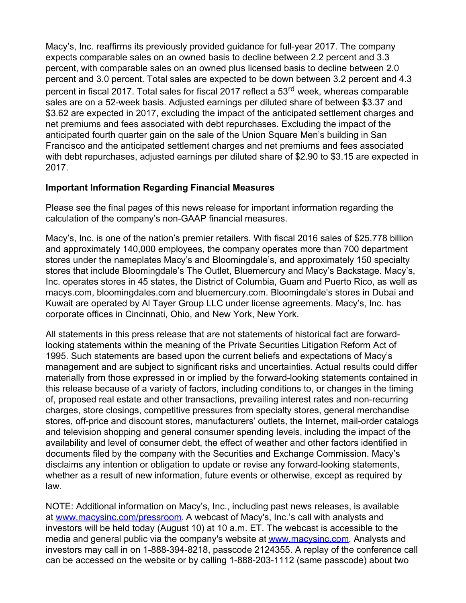Macy's, Inc. reaffirms its previously provided guidance for full-year 2017. The company expects comparable sales on an owned basis to decline between 2.2 percent and 3.3 percent, with comparable sales on an owned plus licensed basis to decline between 2.0 percent and 3.0 percent. Total sales are expected to be down between 3.2 percent and 4.3 percent in fiscal 2017. Total sales for fiscal 2017 reflect a 53<sup>rd</sup> week, whereas comparable sales are on a 52-week basis. Adjusted earnings per diluted share of between \$3.37 and \$3.62 are expected in 2017, excluding the impact of the anticipated settlement charges and net premiums and fees associated with debt repurchases. Excluding the impact of the anticipated fourth quarter gain on the sale of the Union Square Men's building in San Francisco and the anticipated settlement charges and net premiums and fees associated with debt repurchases, adjusted earnings per diluted share of \$2.90 to \$3.15 are expected in 2017.

# **Important Information Regarding Financial Measures**

Please see the final pages of this news release for important information regarding the calculation of the company's non-GAAP financial measures.

Macy's, Inc. is one of the nation's premier retailers. With fiscal 2016 sales of \$25.778 billion and approximately 140,000 employees, the company operates more than 700 department stores under the nameplates Macy's and Bloomingdale's, and approximately 150 specialty stores that include Bloomingdale's The Outlet, Bluemercury and Macy's Backstage. Macy's, Inc. operates stores in 45 states, the District of Columbia, Guam and Puerto Rico, as well as macys.com, bloomingdales.com and bluemercury.com. Bloomingdale's stores in Dubai and Kuwait are operated by Al Tayer Group LLC under license agreements. Macy's, Inc. has corporate offices in Cincinnati, Ohio, and New York, New York.

All statements in this press release that are not statements of historical fact are forwardlooking statements within the meaning of the Private Securities Litigation Reform Act of 1995. Such statements are based upon the current beliefs and expectations of Macy's management and are subject to significant risks and uncertainties. Actual results could differ materially from those expressed in or implied by the forward-looking statements contained in this release because of a variety of factors, including conditions to, or changes in the timing of, proposed real estate and other transactions, prevailing interest rates and non-recurring charges, store closings, competitive pressures from specialty stores, general merchandise stores, off-price and discount stores, manufacturers' outlets, the Internet, mail-order catalogs and television shopping and general consumer spending levels, including the impact of the availability and level of consumer debt, the effect of weather and other factors identified in documents filed by the company with the Securities and Exchange Commission. Macy's disclaims any intention or obligation to update or revise any forward-looking statements, whether as a result of new information, future events or otherwise, except as required by law.

NOTE: Additional information on Macy's, Inc., including past news releases, is available at [www.macysinc.com/pressroom](http://www.macysinc.com/pressroom). A webcast of Macy's, Inc.'s call with analysts and investors will be held today (August 10) at 10 a.m. ET. The webcast is accessible to the media and general public via the company's website at [www.macysinc.com](http://www.macysinc.com). Analysts and investors may call in on 1-888-394-8218, passcode 2124355. A replay of the conference call can be accessed on the website or by calling 1-888-203-1112 (same passcode) about two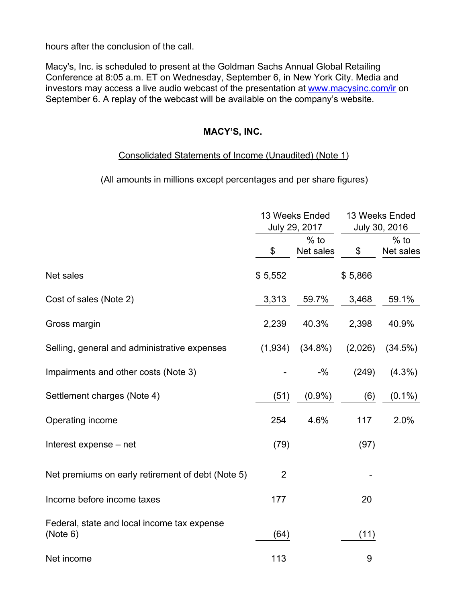hours after the conclusion of the call.

Macy's, Inc. is scheduled to present at the Goldman Sachs Annual Global Retailing Conference at 8:05 a.m. ET on Wednesday, September 6, in New York City. Media and investors may access a live audio webcast of the presentation at [www.macysinc.com/ir](http://www.macysinc.com/ir) on September 6. A replay of the webcast will be available on the company's website.

# **MACY'S, INC.**

#### Consolidated Statements of Income (Unaudited) (Note 1)

(All amounts in millions except percentages and per share figures)

|                                                         |                | 13 Weeks Ended<br>July 29, 2017 |         | 13 Weeks Ended<br>July 30, 2016 |
|---------------------------------------------------------|----------------|---------------------------------|---------|---------------------------------|
|                                                         | \$             | $%$ to<br>Net sales             | \$      | $%$ to<br>Net sales             |
| Net sales                                               | \$5,552        |                                 | \$5,866 |                                 |
| Cost of sales (Note 2)                                  | 3,313          | 59.7%                           | 3,468   | 59.1%                           |
| Gross margin                                            | 2,239          | 40.3%                           | 2,398   | 40.9%                           |
| Selling, general and administrative expenses            | (1,934)        | $(34.8\%)$                      | (2,026) | (34.5%)                         |
| Impairments and other costs (Note 3)                    |                | $-$ %                           | (249)   | $(4.3\%)$                       |
| Settlement charges (Note 4)                             | (51)           | $(0.9\%)$                       | (6)     | $(0.1\%)$                       |
| Operating income                                        | 254            | 4.6%                            | 117     | 2.0%                            |
| Interest expense – net                                  | (79)           |                                 | (97)    |                                 |
| Net premiums on early retirement of debt (Note 5)       | $\overline{2}$ |                                 |         |                                 |
| Income before income taxes                              | 177            |                                 | 20      |                                 |
| Federal, state and local income tax expense<br>(Note 6) | (64)           |                                 | (11)    |                                 |
| Net income                                              | 113            |                                 | 9       |                                 |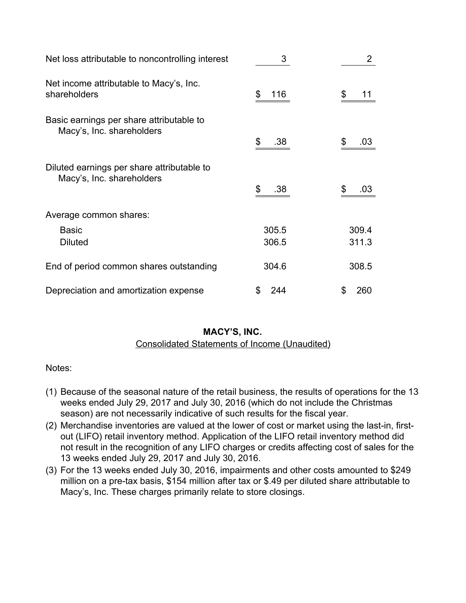| Net loss attributable to noncontrolling interest                        | 3         | $\overline{2}$ |
|-------------------------------------------------------------------------|-----------|----------------|
| Net income attributable to Macy's, Inc.<br>shareholders                 | \$<br>116 | 11             |
| Basic earnings per share attributable to<br>Macy's, Inc. shareholders   | \$<br>.38 | .03            |
| Diluted earnings per share attributable to<br>Macy's, Inc. shareholders | \$<br>.38 | .03            |
| Average common shares:                                                  |           |                |
| <b>Basic</b>                                                            | 305.5     | 309.4          |
| <b>Diluted</b>                                                          | 306.5     | 311.3          |
| End of period common shares outstanding                                 | 304.6     | 308.5          |
| Depreciation and amortization expense                                   | S<br>244  | \$<br>260      |

Consolidated Statements of Income (Unaudited)

Notes:

- (1) Because of the seasonal nature of the retail business, the results of operations for the 13 weeks ended July 29, 2017 and July 30, 2016 (which do not include the Christmas season) are not necessarily indicative of such results for the fiscal year.
- (2) Merchandise inventories are valued at the lower of cost or market using the last-in, firstout (LIFO) retail inventory method. Application of the LIFO retail inventory method did not result in the recognition of any LIFO charges or credits affecting cost of sales for the 13 weeks ended July 29, 2017 and July 30, 2016.
- (3) For the 13 weeks ended July 30, 2016, impairments and other costs amounted to \$249 million on a pre-tax basis, \$154 million after tax or \$.49 per diluted share attributable to Macy's, Inc. These charges primarily relate to store closings.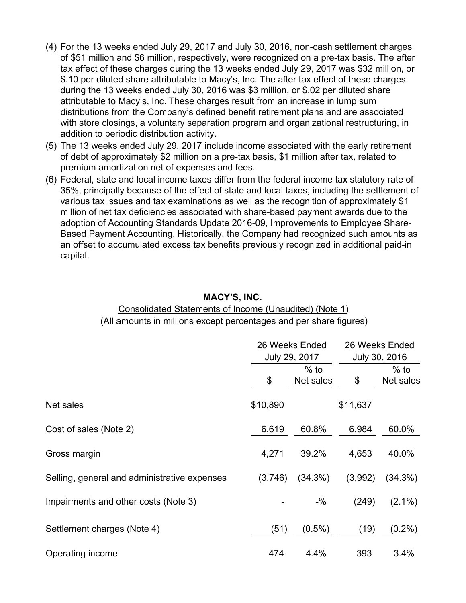- (4) For the 13 weeks ended July 29, 2017 and July 30, 2016, non-cash settlement charges of \$51 million and \$6 million, respectively, were recognized on a pre-tax basis. The after tax effect of these charges during the 13 weeks ended July 29, 2017 was \$32 million, or \$.10 per diluted share attributable to Macy's, Inc. The after tax effect of these charges during the 13 weeks ended July 30, 2016 was \$3 million, or \$.02 per diluted share attributable to Macy's, Inc. These charges result from an increase in lump sum distributions from the Company's defined benefit retirement plans and are associated with store closings, a voluntary separation program and organizational restructuring, in addition to periodic distribution activity.
- (5) The 13 weeks ended July 29, 2017 include income associated with the early retirement of debt of approximately \$2 million on a pre-tax basis, \$1 million after tax, related to premium amortization net of expenses and fees.
- (6) Federal, state and local income taxes differ from the federal income tax statutory rate of 35%, principally because of the effect of state and local taxes, including the settlement of various tax issues and tax examinations as well as the recognition of approximately \$1 million of net tax deficiencies associated with share-based payment awards due to the adoption of Accounting Standards Update 2016-09, Improvements to Employee Share-Based Payment Accounting. Historically, the Company had recognized such amounts as an offset to accumulated excess tax benefits previously recognized in additional paid-in capital.

#### Consolidated Statements of Income (Unaudited) (Note 1) (All amounts in millions except percentages and per share figures)

|                                              |          | 26 Weeks Ended<br>July 29, 2017 | 26 Weeks Ended<br>July 30, 2016 |                     |  |
|----------------------------------------------|----------|---------------------------------|---------------------------------|---------------------|--|
|                                              | \$       | $%$ to<br>Net sales             | \$                              | $%$ to<br>Net sales |  |
| Net sales                                    | \$10,890 |                                 | \$11,637                        |                     |  |
| Cost of sales (Note 2)                       | 6,619    | 60.8%                           | 6,984                           | 60.0%               |  |
| Gross margin                                 | 4,271    | 39.2%                           | 4,653                           | 40.0%               |  |
| Selling, general and administrative expenses | (3,746)  | $(34.3\%)$                      | (3,992)                         | $(34.3\%)$          |  |
| Impairments and other costs (Note 3)         |          | $-$ %                           | (249)                           | $(2.1\%)$           |  |
| Settlement charges (Note 4)                  | (51)     | $(0.5\%)$                       | (19)                            | $(0.2\%)$           |  |
| Operating income                             | 474      | 4.4%                            | 393                             | 3.4%                |  |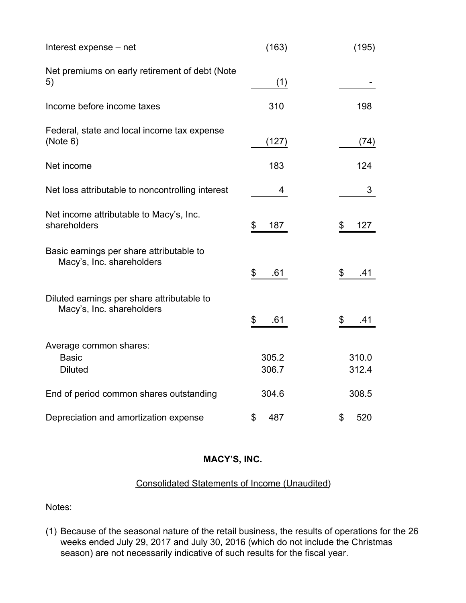| Interest expense – net                                                  | (163)          | (195)          |
|-------------------------------------------------------------------------|----------------|----------------|
| Net premiums on early retirement of debt (Note<br>5)                    | (1)            |                |
| Income before income taxes                                              | 310            | 198            |
| Federal, state and local income tax expense<br>(Note 6)                 | (127)          | (74)           |
| Net income                                                              | 183            | 124            |
| Net loss attributable to noncontrolling interest                        | 4              | 3              |
| Net income attributable to Macy's, Inc.<br>shareholders                 | \$<br>187      | 127<br>\$      |
| Basic earnings per share attributable to<br>Macy's, Inc. shareholders   | \$<br>.61      | \$<br>.41      |
| Diluted earnings per share attributable to<br>Macy's, Inc. shareholders | \$<br>.61      | \$<br>.41      |
| Average common shares:<br><b>Basic</b><br><b>Diluted</b>                | 305.2<br>306.7 | 310.0<br>312.4 |
| End of period common shares outstanding                                 | 304.6          | 308.5          |
| Depreciation and amortization expense                                   | \$<br>487      | \$<br>520      |

# Consolidated Statements of Income (Unaudited)

Notes:

(1) Because of the seasonal nature of the retail business, the results of operations for the 26 weeks ended July 29, 2017 and July 30, 2016 (which do not include the Christmas season) are not necessarily indicative of such results for the fiscal year.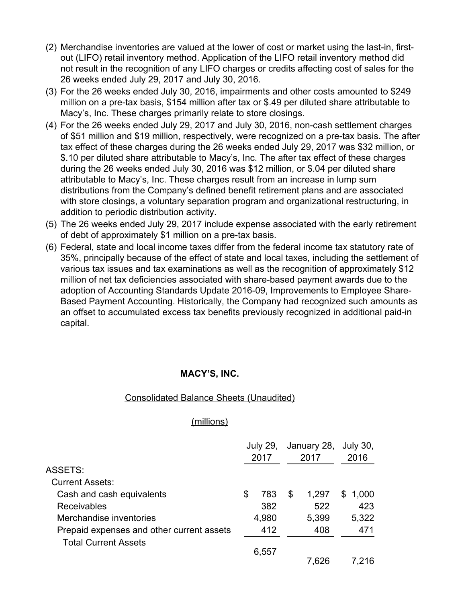- (2) Merchandise inventories are valued at the lower of cost or market using the last-in, firstout (LIFO) retail inventory method. Application of the LIFO retail inventory method did not result in the recognition of any LIFO charges or credits affecting cost of sales for the 26 weeks ended July 29, 2017 and July 30, 2016.
- (3) For the 26 weeks ended July 30, 2016, impairments and other costs amounted to \$249 million on a pre-tax basis, \$154 million after tax or \$.49 per diluted share attributable to Macy's, Inc. These charges primarily relate to store closings.
- (4) For the 26 weeks ended July 29, 2017 and July 30, 2016, non-cash settlement charges of \$51 million and \$19 million, respectively, were recognized on a pre-tax basis. The after tax effect of these charges during the 26 weeks ended July 29, 2017 was \$32 million, or \$.10 per diluted share attributable to Macy's, Inc. The after tax effect of these charges during the 26 weeks ended July 30, 2016 was \$12 million, or \$.04 per diluted share attributable to Macy's, Inc. These charges result from an increase in lump sum distributions from the Company's defined benefit retirement plans and are associated with store closings, a voluntary separation program and organizational restructuring, in addition to periodic distribution activity.
- (5) The 26 weeks ended July 29, 2017 include expense associated with the early retirement of debt of approximately \$1 million on a pre-tax basis.
- (6) Federal, state and local income taxes differ from the federal income tax statutory rate of 35%, principally because of the effect of state and local taxes, including the settlement of various tax issues and tax examinations as well as the recognition of approximately \$12 million of net tax deficiencies associated with share-based payment awards due to the adoption of Accounting Standards Update 2016-09, Improvements to Employee Share-Based Payment Accounting. Historically, the Company had recognized such amounts as an offset to accumulated excess tax benefits previously recognized in additional paid-in capital.

#### Consolidated Balance Sheets (Unaudited)

#### (millions)

|                                           | <b>July 29,</b> |       | January 28, |       | <b>July 30,</b> |
|-------------------------------------------|-----------------|-------|-------------|-------|-----------------|
|                                           | 2017            |       | 2017        |       | 2016            |
| ASSETS:                                   |                 |       |             |       |                 |
| <b>Current Assets:</b>                    |                 |       |             |       |                 |
| Cash and cash equivalents                 | S               | 783   | S           | 1,297 | \$<br>1,000     |
| <b>Receivables</b>                        |                 | 382   |             | 522   | 423             |
| Merchandise inventories                   |                 | 4,980 |             | 5,399 | 5,322           |
| Prepaid expenses and other current assets |                 | 412   |             | 408   | 471             |
| <b>Total Current Assets</b>               |                 |       |             |       |                 |
|                                           |                 | 6,557 |             |       |                 |
|                                           |                 |       |             | 7,626 | 7.216           |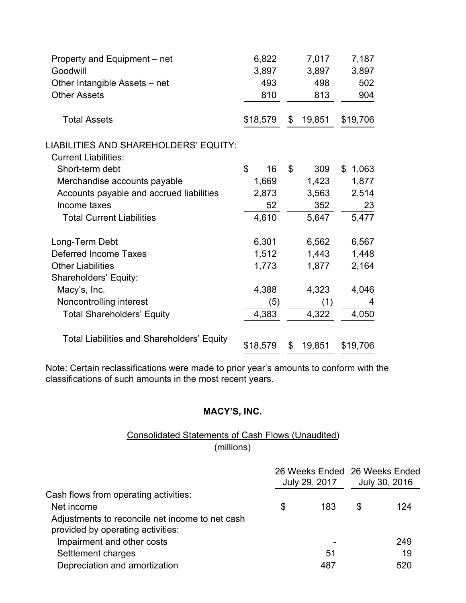| Property and Equipment - net<br>Goodwill<br>Other Intangible Assets - net | 6,822<br>3,897 | 493 |                | 7,017<br>3,897<br>498 | 7,187<br>3,897<br>502 |
|---------------------------------------------------------------------------|----------------|-----|----------------|-----------------------|-----------------------|
| <b>Other Assets</b>                                                       |                | 810 |                | 813                   | 904                   |
| <b>Total Assets</b>                                                       | \$18,579       |     | \$             | 19,851                | \$19,706              |
| LIABILITIES AND SHAREHOLDERS' EQUITY:                                     |                |     |                |                       |                       |
| <b>Current Liabilities:</b>                                               |                |     |                |                       |                       |
| Short-term debt                                                           | \$             | 16  | $\mathfrak{L}$ | 309                   | \$1,063               |
| Merchandise accounts payable                                              | 1,669          |     |                | 1,423                 | 1,877                 |
| Accounts payable and accrued liabilities                                  | 2,873          |     |                | 3,563                 | 2,514                 |
| Income taxes                                                              |                | 52  |                | 352                   | 23                    |
| <b>Total Current Liabilities</b>                                          | 4,610          |     |                | 5,647                 | 5,477                 |
| Long-Term Debt                                                            | 6,301          |     |                | 6,562                 | 6,567                 |
| <b>Deferred Income Taxes</b>                                              | 1,512          |     |                | 1,443                 | 1,448                 |
| <b>Other Liabilities</b>                                                  | 1,773          |     |                | 1,877                 | 2,164                 |
| Shareholders' Equity:                                                     |                |     |                |                       |                       |
| Macy's, Inc.                                                              | 4,388          |     |                | 4,323                 | 4,046                 |
| Noncontrolling interest                                                   |                | (5) |                | (1)                   | 4                     |
| <b>Total Shareholders' Equity</b>                                         | 4,383          |     |                | 4,322                 | 4,050                 |
| <b>Total Liabilities and Shareholders' Equity</b>                         | \$18,579       |     | \$             | 19,851                | \$19,706              |

Note: Certain reclassifications were made to prior year's amounts to conform with the classifications of such amounts in the most recent years.

# **MACY'S, INC.**

# Consolidated Statements of Cash Flows (Unaudited) (millions)

|                                                                                      | July 29, 2017 | 26 Weeks Ended 26 Weeks Ended<br>July 30, 2016 |     |  |
|--------------------------------------------------------------------------------------|---------------|------------------------------------------------|-----|--|
| Cash flows from operating activities:                                                |               |                                                |     |  |
| Net income                                                                           | \$<br>183     | \$                                             | 124 |  |
| Adjustments to reconcile net income to net cash<br>provided by operating activities: |               |                                                |     |  |
| Impairment and other costs                                                           |               |                                                | 249 |  |
| Settlement charges                                                                   | 51            |                                                | 19  |  |
| Depreciation and amortization                                                        | 487           |                                                | 520 |  |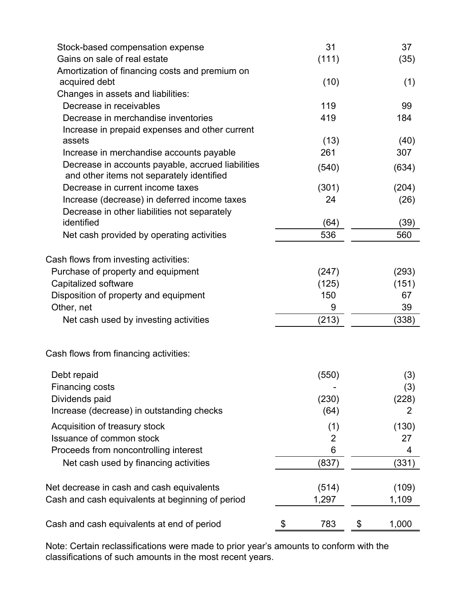| Gains on sale of real estate<br>Amortization of financing costs and premium on<br>acquired debt<br>Changes in assets and liabilities:<br>Decrease in receivables<br>Decrease in merchandise inventories<br>Increase in prepaid expenses and other current<br>assets<br>Increase in merchandise accounts payable<br>Decrease in accounts payable, accrued liabilities<br>and other items not separately identified<br>Decrease in current income taxes<br>Increase (decrease) in deferred income taxes<br>Decrease in other liabilities not separately<br>identified<br>Net cash provided by operating activities<br>Cash flows from investing activities:<br>Purchase of property and equipment<br>Capitalized software<br>Disposition of property and equipment<br>Other, net<br>Net cash used by investing activities<br>Cash flows from financing activities:<br>Debt repaid<br>Financing costs<br>Dividends paid<br>Increase (decrease) in outstanding checks<br>Acquisition of treasury stock<br>Issuance of common stock<br>Proceeds from noncontrolling interest<br>Net cash used by financing activities<br>Net decrease in cash and cash equivalents<br>Cash and cash equivalents at beginning of period | 31       | 37          |
|-------------------------------------------------------------------------------------------------------------------------------------------------------------------------------------------------------------------------------------------------------------------------------------------------------------------------------------------------------------------------------------------------------------------------------------------------------------------------------------------------------------------------------------------------------------------------------------------------------------------------------------------------------------------------------------------------------------------------------------------------------------------------------------------------------------------------------------------------------------------------------------------------------------------------------------------------------------------------------------------------------------------------------------------------------------------------------------------------------------------------------------------------------------------------------------------------------------------|----------|-------------|
|                                                                                                                                                                                                                                                                                                                                                                                                                                                                                                                                                                                                                                                                                                                                                                                                                                                                                                                                                                                                                                                                                                                                                                                                                   | (111)    | (35)        |
|                                                                                                                                                                                                                                                                                                                                                                                                                                                                                                                                                                                                                                                                                                                                                                                                                                                                                                                                                                                                                                                                                                                                                                                                                   |          |             |
|                                                                                                                                                                                                                                                                                                                                                                                                                                                                                                                                                                                                                                                                                                                                                                                                                                                                                                                                                                                                                                                                                                                                                                                                                   | (10)     | (1)         |
|                                                                                                                                                                                                                                                                                                                                                                                                                                                                                                                                                                                                                                                                                                                                                                                                                                                                                                                                                                                                                                                                                                                                                                                                                   |          |             |
|                                                                                                                                                                                                                                                                                                                                                                                                                                                                                                                                                                                                                                                                                                                                                                                                                                                                                                                                                                                                                                                                                                                                                                                                                   | 119      | 99          |
|                                                                                                                                                                                                                                                                                                                                                                                                                                                                                                                                                                                                                                                                                                                                                                                                                                                                                                                                                                                                                                                                                                                                                                                                                   | 419      | 184         |
|                                                                                                                                                                                                                                                                                                                                                                                                                                                                                                                                                                                                                                                                                                                                                                                                                                                                                                                                                                                                                                                                                                                                                                                                                   |          |             |
|                                                                                                                                                                                                                                                                                                                                                                                                                                                                                                                                                                                                                                                                                                                                                                                                                                                                                                                                                                                                                                                                                                                                                                                                                   | (13)     | (40)        |
|                                                                                                                                                                                                                                                                                                                                                                                                                                                                                                                                                                                                                                                                                                                                                                                                                                                                                                                                                                                                                                                                                                                                                                                                                   | 261      | 307         |
|                                                                                                                                                                                                                                                                                                                                                                                                                                                                                                                                                                                                                                                                                                                                                                                                                                                                                                                                                                                                                                                                                                                                                                                                                   | (540)    | (634)       |
|                                                                                                                                                                                                                                                                                                                                                                                                                                                                                                                                                                                                                                                                                                                                                                                                                                                                                                                                                                                                                                                                                                                                                                                                                   | (301)    | (204)       |
|                                                                                                                                                                                                                                                                                                                                                                                                                                                                                                                                                                                                                                                                                                                                                                                                                                                                                                                                                                                                                                                                                                                                                                                                                   | 24       | (26)        |
|                                                                                                                                                                                                                                                                                                                                                                                                                                                                                                                                                                                                                                                                                                                                                                                                                                                                                                                                                                                                                                                                                                                                                                                                                   |          |             |
|                                                                                                                                                                                                                                                                                                                                                                                                                                                                                                                                                                                                                                                                                                                                                                                                                                                                                                                                                                                                                                                                                                                                                                                                                   | (64)     | (39)        |
|                                                                                                                                                                                                                                                                                                                                                                                                                                                                                                                                                                                                                                                                                                                                                                                                                                                                                                                                                                                                                                                                                                                                                                                                                   | 536      | 560         |
|                                                                                                                                                                                                                                                                                                                                                                                                                                                                                                                                                                                                                                                                                                                                                                                                                                                                                                                                                                                                                                                                                                                                                                                                                   |          |             |
|                                                                                                                                                                                                                                                                                                                                                                                                                                                                                                                                                                                                                                                                                                                                                                                                                                                                                                                                                                                                                                                                                                                                                                                                                   |          |             |
|                                                                                                                                                                                                                                                                                                                                                                                                                                                                                                                                                                                                                                                                                                                                                                                                                                                                                                                                                                                                                                                                                                                                                                                                                   | (247)    | (293)       |
|                                                                                                                                                                                                                                                                                                                                                                                                                                                                                                                                                                                                                                                                                                                                                                                                                                                                                                                                                                                                                                                                                                                                                                                                                   | (125)    | (151)       |
|                                                                                                                                                                                                                                                                                                                                                                                                                                                                                                                                                                                                                                                                                                                                                                                                                                                                                                                                                                                                                                                                                                                                                                                                                   | 150      | 67          |
|                                                                                                                                                                                                                                                                                                                                                                                                                                                                                                                                                                                                                                                                                                                                                                                                                                                                                                                                                                                                                                                                                                                                                                                                                   | 9        | 39          |
|                                                                                                                                                                                                                                                                                                                                                                                                                                                                                                                                                                                                                                                                                                                                                                                                                                                                                                                                                                                                                                                                                                                                                                                                                   | (213)    | (338)       |
|                                                                                                                                                                                                                                                                                                                                                                                                                                                                                                                                                                                                                                                                                                                                                                                                                                                                                                                                                                                                                                                                                                                                                                                                                   |          |             |
|                                                                                                                                                                                                                                                                                                                                                                                                                                                                                                                                                                                                                                                                                                                                                                                                                                                                                                                                                                                                                                                                                                                                                                                                                   | (550)    | (3)         |
|                                                                                                                                                                                                                                                                                                                                                                                                                                                                                                                                                                                                                                                                                                                                                                                                                                                                                                                                                                                                                                                                                                                                                                                                                   |          | (3)         |
|                                                                                                                                                                                                                                                                                                                                                                                                                                                                                                                                                                                                                                                                                                                                                                                                                                                                                                                                                                                                                                                                                                                                                                                                                   | (230)    | (228)       |
|                                                                                                                                                                                                                                                                                                                                                                                                                                                                                                                                                                                                                                                                                                                                                                                                                                                                                                                                                                                                                                                                                                                                                                                                                   | (64)     | 2           |
|                                                                                                                                                                                                                                                                                                                                                                                                                                                                                                                                                                                                                                                                                                                                                                                                                                                                                                                                                                                                                                                                                                                                                                                                                   |          | (130)       |
|                                                                                                                                                                                                                                                                                                                                                                                                                                                                                                                                                                                                                                                                                                                                                                                                                                                                                                                                                                                                                                                                                                                                                                                                                   | (1)<br>2 | 27          |
|                                                                                                                                                                                                                                                                                                                                                                                                                                                                                                                                                                                                                                                                                                                                                                                                                                                                                                                                                                                                                                                                                                                                                                                                                   | 6        | 4           |
|                                                                                                                                                                                                                                                                                                                                                                                                                                                                                                                                                                                                                                                                                                                                                                                                                                                                                                                                                                                                                                                                                                                                                                                                                   |          |             |
|                                                                                                                                                                                                                                                                                                                                                                                                                                                                                                                                                                                                                                                                                                                                                                                                                                                                                                                                                                                                                                                                                                                                                                                                                   | (837)    | (331)       |
|                                                                                                                                                                                                                                                                                                                                                                                                                                                                                                                                                                                                                                                                                                                                                                                                                                                                                                                                                                                                                                                                                                                                                                                                                   | (514)    | (109)       |
|                                                                                                                                                                                                                                                                                                                                                                                                                                                                                                                                                                                                                                                                                                                                                                                                                                                                                                                                                                                                                                                                                                                                                                                                                   | 1,297    | 1,109       |
| Cash and cash equivalents at end of period<br>\$                                                                                                                                                                                                                                                                                                                                                                                                                                                                                                                                                                                                                                                                                                                                                                                                                                                                                                                                                                                                                                                                                                                                                                  | 783      | \$<br>1,000 |

Note: Certain reclassifications were made to prior year's amounts to conform with the classifications of such amounts in the most recent years.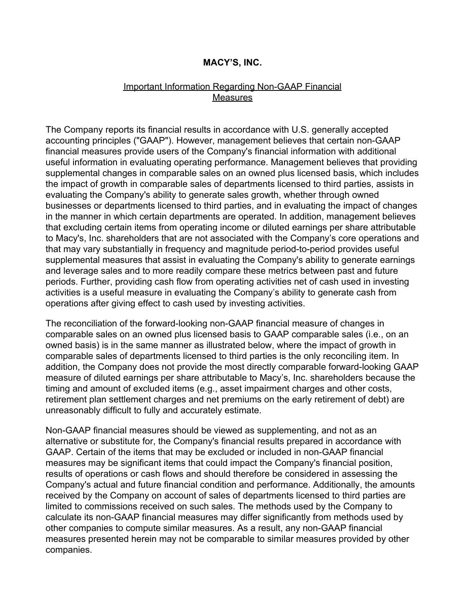#### Important Information Regarding Non-GAAP Financial **Measures**

The Company reports its financial results in accordance with U.S. generally accepted accounting principles ("GAAP"). However, management believes that certain non-GAAP financial measures provide users of the Company's financial information with additional useful information in evaluating operating performance. Management believes that providing supplemental changes in comparable sales on an owned plus licensed basis, which includes the impact of growth in comparable sales of departments licensed to third parties, assists in evaluating the Company's ability to generate sales growth, whether through owned businesses or departments licensed to third parties, and in evaluating the impact of changes in the manner in which certain departments are operated. In addition, management believes that excluding certain items from operating income or diluted earnings per share attributable to Macy's, Inc. shareholders that are not associated with the Company's core operations and that may vary substantially in frequency and magnitude period-to-period provides useful supplemental measures that assist in evaluating the Company's ability to generate earnings and leverage sales and to more readily compare these metrics between past and future periods. Further, providing cash flow from operating activities net of cash used in investing activities is a useful measure in evaluating the Company's ability to generate cash from operations after giving effect to cash used by investing activities.

The reconciliation of the forward-looking non-GAAP financial measure of changes in comparable sales on an owned plus licensed basis to GAAP comparable sales (i.e., on an owned basis) is in the same manner as illustrated below, where the impact of growth in comparable sales of departments licensed to third parties is the only reconciling item. In addition, the Company does not provide the most directly comparable forward-looking GAAP measure of diluted earnings per share attributable to Macy's, Inc. shareholders because the timing and amount of excluded items (e.g., asset impairment charges and other costs, retirement plan settlement charges and net premiums on the early retirement of debt) are unreasonably difficult to fully and accurately estimate.

Non-GAAP financial measures should be viewed as supplementing, and not as an alternative or substitute for, the Company's financial results prepared in accordance with GAAP. Certain of the items that may be excluded or included in non-GAAP financial measures may be significant items that could impact the Company's financial position, results of operations or cash flows and should therefore be considered in assessing the Company's actual and future financial condition and performance. Additionally, the amounts received by the Company on account of sales of departments licensed to third parties are limited to commissions received on such sales. The methods used by the Company to calculate its non-GAAP financial measures may differ significantly from methods used by other companies to compute similar measures. As a result, any non-GAAP financial measures presented herein may not be comparable to similar measures provided by other companies.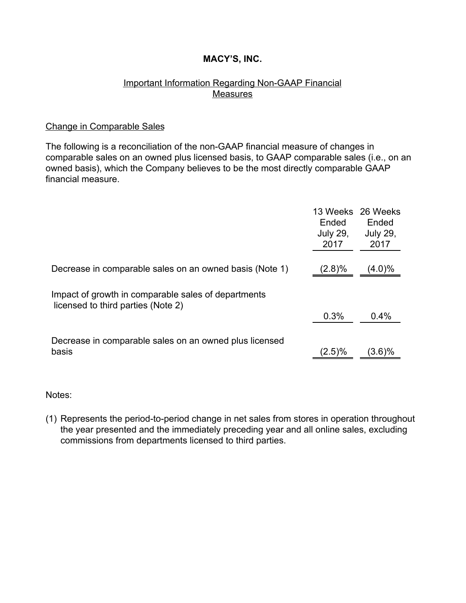# Important Information Regarding Non-GAAP Financial Measures

#### Change in Comparable Sales

The following is a reconciliation of the non-GAAP financial measure of changes in comparable sales on an owned plus licensed basis, to GAAP comparable sales (i.e., on an owned basis), which the Company believes to be the most directly comparable GAAP financial measure.

|                                                                                           | 13 Weeks<br>Ended<br><b>July 29,</b><br>2017 | 26 Weeks<br>Ended<br><b>July 29,</b><br>2017 |
|-------------------------------------------------------------------------------------------|----------------------------------------------|----------------------------------------------|
| Decrease in comparable sales on an owned basis (Note 1)                                   | (2.8)%                                       | (4.0)%                                       |
| Impact of growth in comparable sales of departments<br>licensed to third parties (Note 2) |                                              |                                              |
|                                                                                           | 0.3%                                         | 0.4%                                         |
| Decrease in comparable sales on an owned plus licensed                                    |                                              |                                              |
| basis                                                                                     | $(2.5)\%$                                    | $(3.6)\%$                                    |

Notes:

(1) Represents the period-to-period change in net sales from stores in operation throughout the year presented and the immediately preceding year and all online sales, excluding commissions from departments licensed to third parties.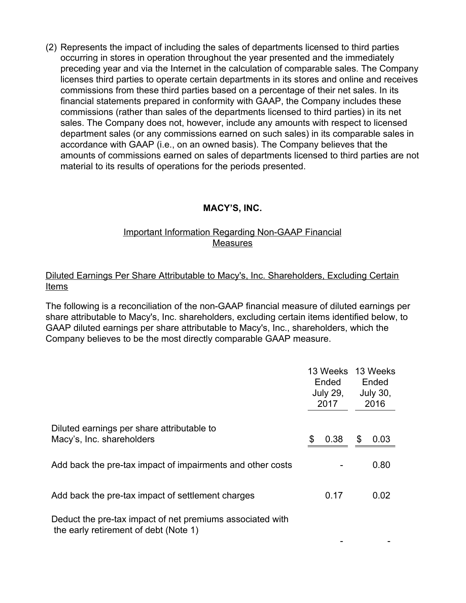(2) Represents the impact of including the sales of departments licensed to third parties occurring in stores in operation throughout the year presented and the immediately preceding year and via the Internet in the calculation of comparable sales. The Company licenses third parties to operate certain departments in its stores and online and receives commissions from these third parties based on a percentage of their net sales. In its financial statements prepared in conformity with GAAP, the Company includes these commissions (rather than sales of the departments licensed to third parties) in its net sales. The Company does not, however, include any amounts with respect to licensed department sales (or any commissions earned on such sales) in its comparable sales in accordance with GAAP (i.e., on an owned basis). The Company believes that the amounts of commissions earned on sales of departments licensed to third parties are not material to its results of operations for the periods presented.

# **MACY'S, INC.**

# Important Information Regarding Non-GAAP Financial Measures

# Diluted Earnings Per Share Attributable to Macy's, Inc. Shareholders, Excluding Certain Items

The following is a reconciliation of the non-GAAP financial measure of diluted earnings per share attributable to Macy's, Inc. shareholders, excluding certain items identified below, to GAAP diluted earnings per share attributable to Macy's, Inc., shareholders, which the Company believes to be the most directly comparable GAAP measure.

|                                                                                                    |    | 13 Weeks<br>Ended<br><b>July 29,</b><br>2017 |    | 13 Weeks<br>Ended<br><b>July 30,</b><br>2016 |  |
|----------------------------------------------------------------------------------------------------|----|----------------------------------------------|----|----------------------------------------------|--|
| Diluted earnings per share attributable to<br>Macy's, Inc. shareholders                            | \$ | 0.38                                         | \$ | 0.03                                         |  |
| Add back the pre-tax impact of impairments and other costs                                         |    |                                              |    | 0.80                                         |  |
| Add back the pre-tax impact of settlement charges                                                  |    | 0.17                                         |    | 0.02                                         |  |
| Deduct the pre-tax impact of net premiums associated with<br>the early retirement of debt (Note 1) |    |                                              |    |                                              |  |

- -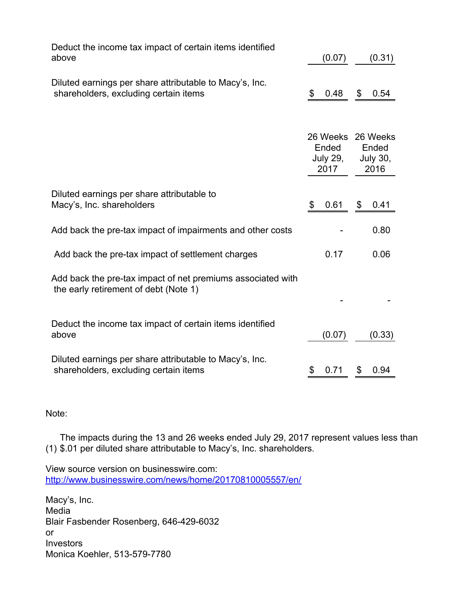| Deduct the income tax impact of certain items identified<br>above                                    | (0.07)                                       | (0.31)                                       |
|------------------------------------------------------------------------------------------------------|----------------------------------------------|----------------------------------------------|
| Diluted earnings per share attributable to Macy's, Inc.<br>shareholders, excluding certain items     | \$<br>0.48                                   | \$<br>0.54                                   |
|                                                                                                      | 26 Weeks<br>Ended<br><b>July 29,</b><br>2017 | 26 Weeks<br>Ended<br><b>July 30,</b><br>2016 |
| Diluted earnings per share attributable to<br>Macy's, Inc. shareholders                              | \$<br>0.61                                   | \$<br>0.41                                   |
| Add back the pre-tax impact of impairments and other costs                                           |                                              | 0.80                                         |
| Add back the pre-tax impact of settlement charges                                                    | 0.17                                         | 0.06                                         |
| Add back the pre-tax impact of net premiums associated with<br>the early retirement of debt (Note 1) |                                              |                                              |
| Deduct the income tax impact of certain items identified<br>above                                    | (0.07)                                       | (0.33)                                       |
| Diluted earnings per share attributable to Macy's, Inc.<br>shareholders, excluding certain items     | \$<br>0.71                                   | \$<br>0.94                                   |

Note:

(1) \$.01 per diluted share attributable to Macy's, Inc. shareholders. The impacts during the 13 and 26 weeks ended July 29, 2017 represent values less than

View source version on businesswire.com: <http://www.businesswire.com/news/home/20170810005557/en/>

Macy's, Inc. Media Blair Fasbender Rosenberg, 646-429-6032 or Investors Monica Koehler, 513-579-7780